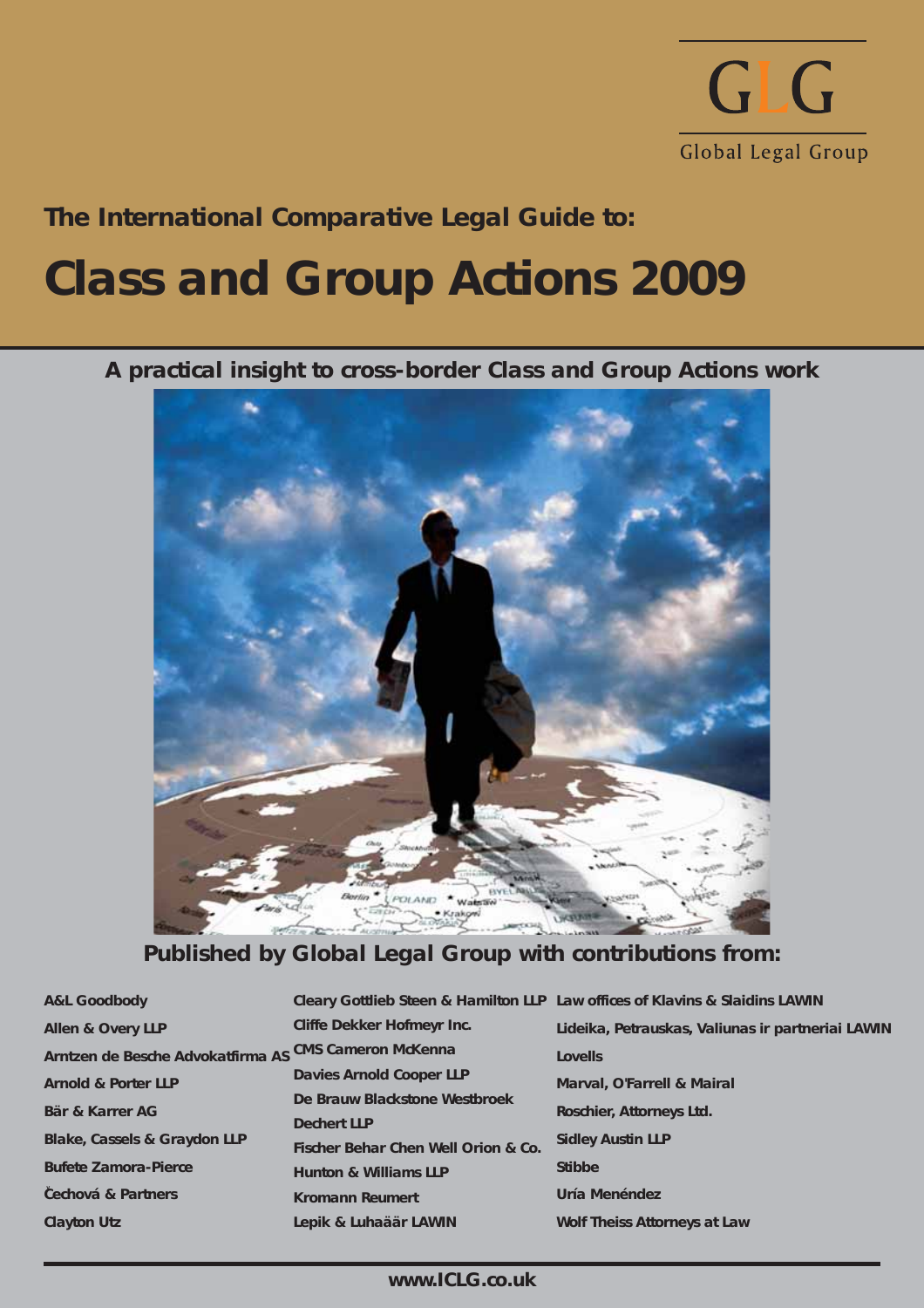

# **The International Comparative Legal Guide to:**

# **Class and Group Actions 2009**

**A practical insight to cross-border Class and Group Actions work**



**Published by Global Legal Group with contributions from:**

| <b>A&amp;L Goodbody</b>                               |                                     | Cleary Gottlieb Steen & Hamilton LLP Law offices of Klavins & Slaidins LAWIN |
|-------------------------------------------------------|-------------------------------------|------------------------------------------------------------------------------|
| <b>Allen &amp; Overy LLP</b>                          | <b>Cliffe Dekker Hofmeyr Inc.</b>   | Lideika, Petrauskas, Valiunas ir partneriai LAWIN                            |
| Arntzen de Besche Advokatfirma AS CMS Cameron McKenna |                                     | <b>Lovells</b>                                                               |
| <b>Arnold &amp; Porter LLP</b>                        | <b>Davies Arnold Cooper LLP</b>     | <b>Marval, O'Farrell &amp; Mairal</b>                                        |
| Bär & Karrer AG                                       | De Brauw Blackstone Westbroek       | <b>Roschier, Attorneys Ltd.</b>                                              |
|                                                       | <b>Dechert LLP</b>                  |                                                                              |
| <b>Blake, Cassels &amp; Graydon LLP</b>               | Fischer Behar Chen Well Orion & Co. | <b>Sidley Austin LLP</b>                                                     |
| <b>Bufete Zamora-Pierce</b>                           | <b>Hunton &amp; Williams LLP</b>    | <b>Stibbe</b>                                                                |
| Cechová & Partners                                    | <b>Kromann Reumert</b>              | Uría Menéndez                                                                |
| <b>Clayton Utz</b>                                    | Lepik & Luhaäär LAWIN               | <b>Wolf Theiss Attorneys at Law</b>                                          |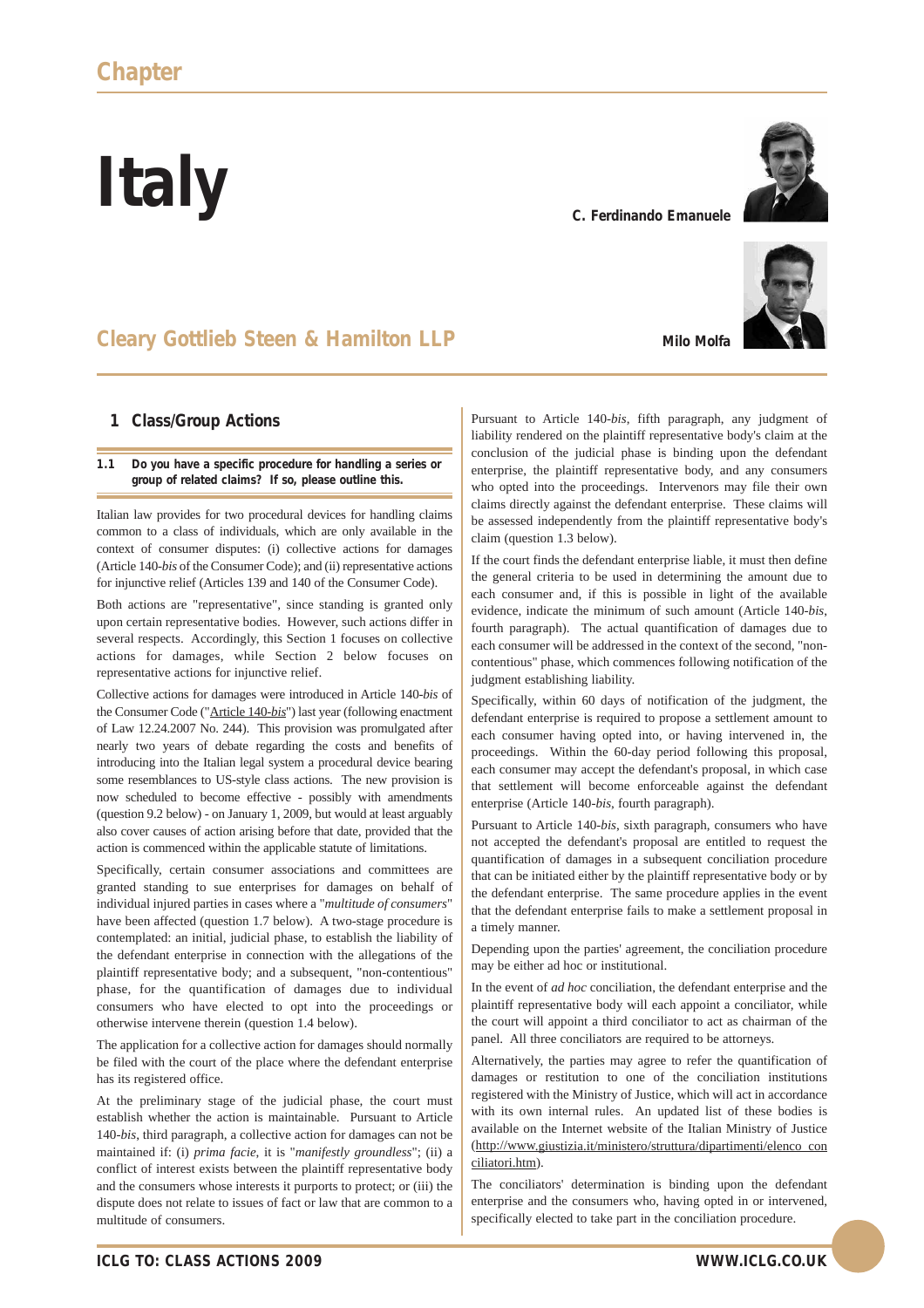**Italy**

# **Cleary Gottlieb Steen & Hamilton LLP**

## **1 Class/Group Actions**

#### **1.1 Do you have a specific procedure for handling a series or group of related claims? If so, please outline this.**

Italian law provides for two procedural devices for handling claims common to a class of individuals, which are only available in the context of consumer disputes: (i) collective actions for damages (Article 140-*bis* of the Consumer Code); and (ii) representative actions for injunctive relief (Articles 139 and 140 of the Consumer Code).

Both actions are "representative", since standing is granted only upon certain representative bodies. However, such actions differ in several respects. Accordingly, this Section 1 focuses on collective actions for damages, while Section 2 below focuses on representative actions for injunctive relief.

Collective actions for damages were introduced in Article 140-*bis* of the Consumer Code ("Article 140-*bis*") last year (following enactment of Law 12.24.2007 No. 244). This provision was promulgated after nearly two years of debate regarding the costs and benefits of introducing into the Italian legal system a procedural device bearing some resemblances to US-style class actions. The new provision is now scheduled to become effective - possibly with amendments (question 9.2 below) - on January 1, 2009, but would at least arguably also cover causes of action arising before that date, provided that the action is commenced within the applicable statute of limitations.

Specifically, certain consumer associations and committees are granted standing to sue enterprises for damages on behalf of individual injured parties in cases where a "*multitude of consumers*" have been affected (question 1.7 below). A two-stage procedure is contemplated: an initial, judicial phase, to establish the liability of the defendant enterprise in connection with the allegations of the plaintiff representative body; and a subsequent, "non-contentious" phase, for the quantification of damages due to individual consumers who have elected to opt into the proceedings or otherwise intervene therein (question 1.4 below).

The application for a collective action for damages should normally be filed with the court of the place where the defendant enterprise has its registered office.

At the preliminary stage of the judicial phase, the court must establish whether the action is maintainable. Pursuant to Article 140-*bis*, third paragraph, a collective action for damages can not be maintained if: (i) *prima facie*, it is "*manifestly groundless*"; (ii) a conflict of interest exists between the plaintiff representative body and the consumers whose interests it purports to protect; or (iii) the dispute does not relate to issues of fact or law that are common to a multitude of consumers.

Pursuant to Article 140-*bis*, fifth paragraph, any judgment of liability rendered on the plaintiff representative body's claim at the conclusion of the judicial phase is binding upon the defendant enterprise, the plaintiff representative body, and any consumers who opted into the proceedings. Intervenors may file their own claims directly against the defendant enterprise. These claims will be assessed independently from the plaintiff representative body's claim (question 1.3 below).

If the court finds the defendant enterprise liable, it must then define the general criteria to be used in determining the amount due to each consumer and, if this is possible in light of the available evidence, indicate the minimum of such amount (Article 140-*bis*, fourth paragraph). The actual quantification of damages due to each consumer will be addressed in the context of the second, "noncontentious" phase, which commences following notification of the judgment establishing liability.

Specifically, within 60 days of notification of the judgment, the defendant enterprise is required to propose a settlement amount to each consumer having opted into, or having intervened in, the proceedings. Within the 60-day period following this proposal, each consumer may accept the defendant's proposal, in which case that settlement will become enforceable against the defendant enterprise (Article 140-*bis*, fourth paragraph).

Pursuant to Article 140-*bis*, sixth paragraph, consumers who have not accepted the defendant's proposal are entitled to request the quantification of damages in a subsequent conciliation procedure that can be initiated either by the plaintiff representative body or by the defendant enterprise. The same procedure applies in the event that the defendant enterprise fails to make a settlement proposal in a timely manner.

Depending upon the parties' agreement, the conciliation procedure may be either ad hoc or institutional.

In the event of *ad hoc* conciliation, the defendant enterprise and the plaintiff representative body will each appoint a conciliator, while the court will appoint a third conciliator to act as chairman of the panel. All three conciliators are required to be attorneys.

Alternatively, the parties may agree to refer the quantification of damages or restitution to one of the conciliation institutions registered with the Ministry of Justice, which will act in accordance with its own internal rules. An updated list of these bodies is available on the Internet website of the Italian Ministry of Justice (http://www.giustizia.it/ministero/struttura/dipartimenti/elenco\_con ciliatori.htm).

The conciliators' determination is binding upon the defendant enterprise and the consumers who, having opted in or intervened, specifically elected to take part in the conciliation procedure.



**Milo Molfa**

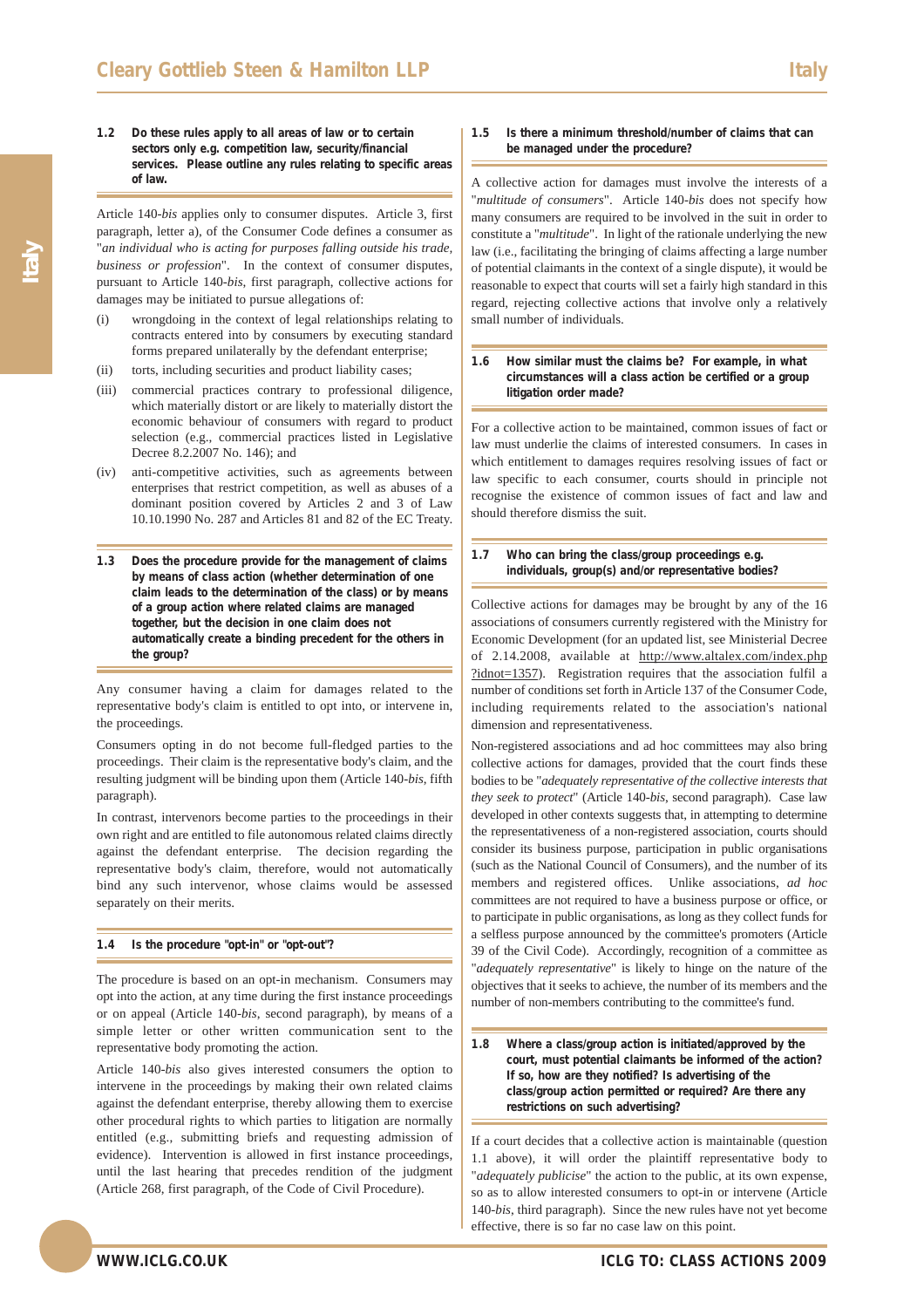**1.2 Do these rules apply to all areas of law or to certain sectors only e.g. competition law, security/financial services. Please outline any rules relating to specific areas of law.**

Article 140-*bis* applies only to consumer disputes. Article 3, first paragraph, letter a), of the Consumer Code defines a consumer as "*an individual who is acting for purposes falling outside his trade, business or profession*". In the context of consumer disputes, pursuant to Article 140-*bis*, first paragraph, collective actions for damages may be initiated to pursue allegations of:

- (i) wrongdoing in the context of legal relationships relating to contracts entered into by consumers by executing standard forms prepared unilaterally by the defendant enterprise;
- (ii) torts, including securities and product liability cases;
- (iii) commercial practices contrary to professional diligence, which materially distort or are likely to materially distort the economic behaviour of consumers with regard to product selection (e.g., commercial practices listed in Legislative Decree 8.2.2007 No. 146); and
- (iv) anti-competitive activities, such as agreements between enterprises that restrict competition, as well as abuses of a dominant position covered by Articles 2 and 3 of Law 10.10.1990 No. 287 and Articles 81 and 82 of the EC Treaty.
- **1.3 Does the procedure provide for the management of claims by means of class action (whether determination of one claim leads to the determination of the class) or by means of a group action where related claims are managed together, but the decision in one claim does not automatically create a binding precedent for the others in the group?**

Any consumer having a claim for damages related to the representative body's claim is entitled to opt into, or intervene in, the proceedings.

Consumers opting in do not become full-fledged parties to the proceedings. Their claim is the representative body's claim, and the resulting judgment will be binding upon them (Article 140-*bis*, fifth paragraph).

In contrast, intervenors become parties to the proceedings in their own right and are entitled to file autonomous related claims directly against the defendant enterprise. The decision regarding the representative body's claim, therefore, would not automatically bind any such intervenor, whose claims would be assessed separately on their merits.

#### **1.4 Is the procedure "opt-in" or "opt-out"?**

The procedure is based on an opt-in mechanism. Consumers may opt into the action, at any time during the first instance proceedings or on appeal (Article 140-*bis*, second paragraph), by means of a simple letter or other written communication sent to the representative body promoting the action.

Article 140-*bis* also gives interested consumers the option to intervene in the proceedings by making their own related claims against the defendant enterprise, thereby allowing them to exercise other procedural rights to which parties to litigation are normally entitled (e.g., submitting briefs and requesting admission of evidence). Intervention is allowed in first instance proceedings, until the last hearing that precedes rendition of the judgment (Article 268, first paragraph, of the Code of Civil Procedure).

#### **1.5 Is there a minimum threshold/number of claims that can be managed under the procedure?**

A collective action for damages must involve the interests of a "*multitude of consumers*". Article 140-*bis* does not specify how many consumers are required to be involved in the suit in order to constitute a "*multitude*". In light of the rationale underlying the new law (i.e., facilitating the bringing of claims affecting a large number of potential claimants in the context of a single dispute), it would be reasonable to expect that courts will set a fairly high standard in this regard, rejecting collective actions that involve only a relatively small number of individuals.

#### **1.6 How similar must the claims be? For example, in what circumstances will a class action be certified or a group litigation order made?**

For a collective action to be maintained, common issues of fact or law must underlie the claims of interested consumers. In cases in which entitlement to damages requires resolving issues of fact or law specific to each consumer, courts should in principle not recognise the existence of common issues of fact and law and should therefore dismiss the suit.

#### **1.7 Who can bring the class/group proceedings e.g. individuals, group(s) and/or representative bodies?**

Collective actions for damages may be brought by any of the 16 associations of consumers currently registered with the Ministry for Economic Development (for an updated list, see Ministerial Decree of 2.14.2008, available at http://www.altalex.com/index.php ?idnot=1357). Registration requires that the association fulfil a number of conditions set forth in Article 137 of the Consumer Code, including requirements related to the association's national dimension and representativeness.

Non-registered associations and ad hoc committees may also bring collective actions for damages, provided that the court finds these bodies to be "*adequately representative of the collective interests that they seek to protect*" (Article 140-*bis*, second paragraph). Case law developed in other contexts suggests that, in attempting to determine the representativeness of a non-registered association, courts should consider its business purpose, participation in public organisations (such as the National Council of Consumers), and the number of its members and registered offices. Unlike associations, *ad hoc* committees are not required to have a business purpose or office, or to participate in public organisations, as long as they collect funds for a selfless purpose announced by the committee's promoters (Article 39 of the Civil Code). Accordingly, recognition of a committee as "*adequately representative*" is likely to hinge on the nature of the objectives that it seeks to achieve, the number of its members and the number of non-members contributing to the committee's fund.

#### **1.8 Where a class/group action is initiated/approved by the court, must potential claimants be informed of the action? If so, how are they notified? Is advertising of the class/group action permitted or required? Are there any restrictions on such advertising?**

If a court decides that a collective action is maintainable (question 1.1 above), it will order the plaintiff representative body to "*adequately publicise*" the action to the public, at its own expense, so as to allow interested consumers to opt-in or intervene (Article 140-*bis*, third paragraph). Since the new rules have not yet become effective, there is so far no case law on this point.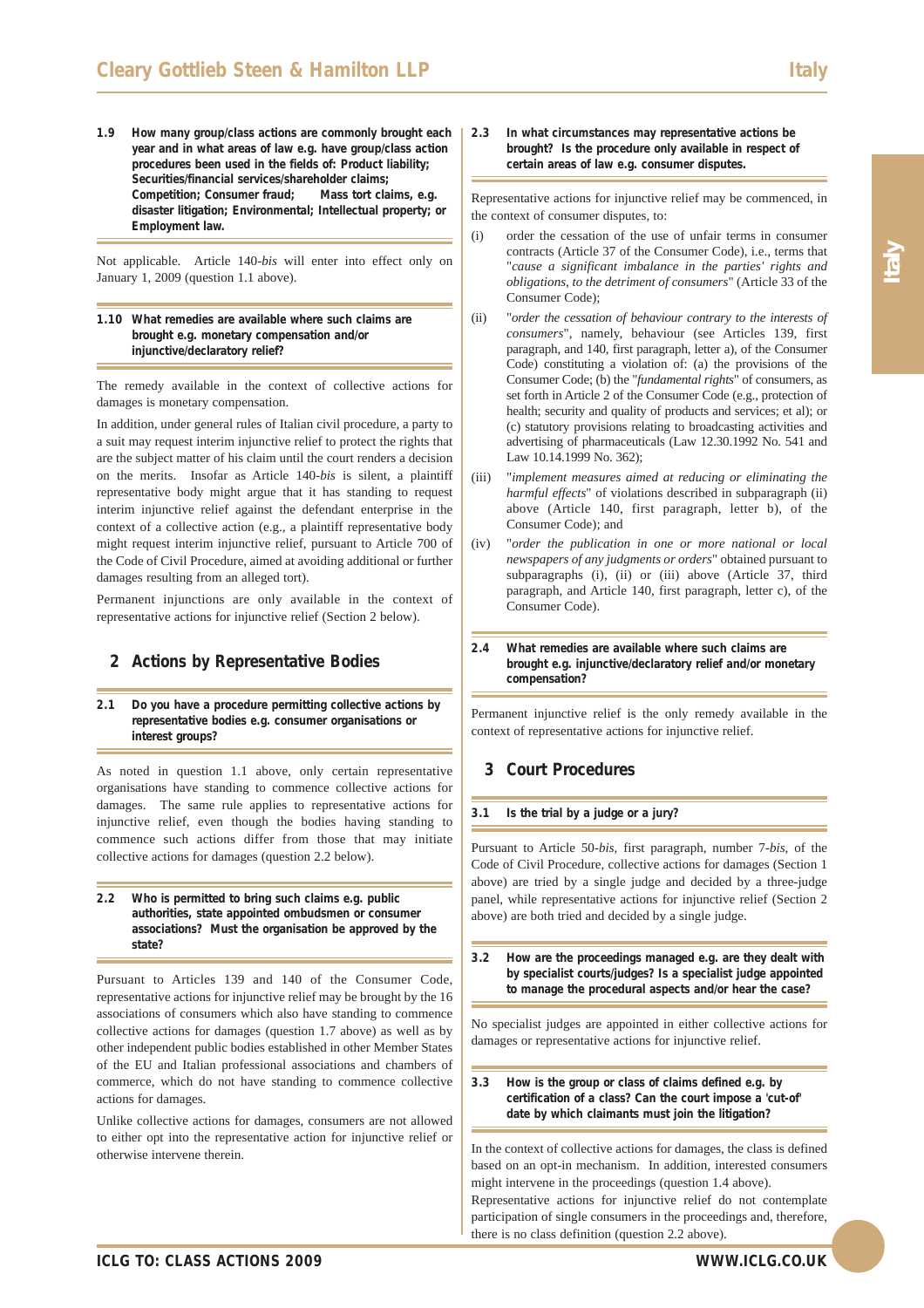**1.9 How many group/class actions are commonly brought each year and in what areas of law e.g. have group/class action procedures been used in the fields of: Product liability; Securities/financial services/shareholder claims; Competition; Consumer fraud; Mass tort claims, e.g. disaster litigation; Environmental; Intellectual property; or Employment law.**

Not applicable. Article 140-*bis* will enter into effect only on January 1, 2009 (question 1.1 above).

#### **1.10 What remedies are available where such claims are brought e.g. monetary compensation and/or injunctive/declaratory relief?**

The remedy available in the context of collective actions for damages is monetary compensation.

In addition, under general rules of Italian civil procedure, a party to a suit may request interim injunctive relief to protect the rights that are the subject matter of his claim until the court renders a decision on the merits. Insofar as Article 140-*bis* is silent, a plaintiff representative body might argue that it has standing to request interim injunctive relief against the defendant enterprise in the context of a collective action (e.g., a plaintiff representative body might request interim injunctive relief, pursuant to Article 700 of the Code of Civil Procedure, aimed at avoiding additional or further damages resulting from an alleged tort).

Permanent injunctions are only available in the context of representative actions for injunctive relief (Section 2 below).

## **2 Actions by Representative Bodies**

#### **2.1 Do you have a procedure permitting collective actions by representative bodies e.g. consumer organisations or interest groups?**

As noted in question 1.1 above, only certain representative organisations have standing to commence collective actions for damages. The same rule applies to representative actions for injunctive relief, even though the bodies having standing to commence such actions differ from those that may initiate collective actions for damages (question 2.2 below).

#### **2.2 Who is permitted to bring such claims e.g. public authorities, state appointed ombudsmen or consumer associations? Must the organisation be approved by the state?**

Pursuant to Articles 139 and 140 of the Consumer Code, representative actions for injunctive relief may be brought by the 16 associations of consumers which also have standing to commence collective actions for damages (question 1.7 above) as well as by other independent public bodies established in other Member States of the EU and Italian professional associations and chambers of commerce, which do not have standing to commence collective actions for damages.

Unlike collective actions for damages, consumers are not allowed to either opt into the representative action for injunctive relief or otherwise intervene therein.

**2.3 In what circumstances may representative actions be brought? Is the procedure only available in respect of certain areas of law e.g. consumer disputes.**

Representative actions for injunctive relief may be commenced, in the context of consumer disputes, to:

- (i) order the cessation of the use of unfair terms in consumer contracts (Article 37 of the Consumer Code), i.e., terms that "*cause a significant imbalance in the parties' rights and obligations, to the detriment of consumers*" (Article 33 of the Consumer Code);
- (ii) "*order the cessation of behaviour contrary to the interests of consumers*", namely, behaviour (see Articles 139, first paragraph, and 140, first paragraph, letter a), of the Consumer Code) constituting a violation of: (a) the provisions of the Consumer Code; (b) the "*fundamental rights*" of consumers, as set forth in Article 2 of the Consumer Code (e.g., protection of health; security and quality of products and services; et al); or (c) statutory provisions relating to broadcasting activities and advertising of pharmaceuticals (Law 12.30.1992 No. 541 and Law 10.14.1999 No. 362);
- (iii) "*implement measures aimed at reducing or eliminating the harmful effects*" of violations described in subparagraph (ii) above (Article 140, first paragraph, letter b), of the Consumer Code); and
- (iv) "*order the publication in one or more national or local newspapers of any judgments or orders*" obtained pursuant to subparagraphs (i), (ii) or (iii) above (Article 37, third paragraph, and Article 140, first paragraph, letter c), of the Consumer Code).
- **2.4 What remedies are available where such claims are brought e.g. injunctive/declaratory relief and/or monetary compensation?**

Permanent injunctive relief is the only remedy available in the context of representative actions for injunctive relief.

## **3 Court Procedures**

### **3.1 Is the trial by a judge or a jury?**

Pursuant to Article 50-*bis*, first paragraph, number 7-*bis*, of the Code of Civil Procedure, collective actions for damages (Section 1 above) are tried by a single judge and decided by a three-judge panel, while representative actions for injunctive relief (Section 2 above) are both tried and decided by a single judge.

**3.2 How are the proceedings managed e.g. are they dealt with by specialist courts/judges? Is a specialist judge appointed to manage the procedural aspects and/or hear the case?**

No specialist judges are appointed in either collective actions for damages or representative actions for injunctive relief.

**3.3 How is the group or class of claims defined e.g. by certification of a class? Can the court impose a 'cut-of' date by which claimants must join the litigation?**

In the context of collective actions for damages, the class is defined based on an opt-in mechanism. In addition, interested consumers might intervene in the proceedings (question 1.4 above). Representative actions for injunctive relief do not contemplate participation of single consumers in the proceedings and, therefore, there is no class definition (question 2.2 above).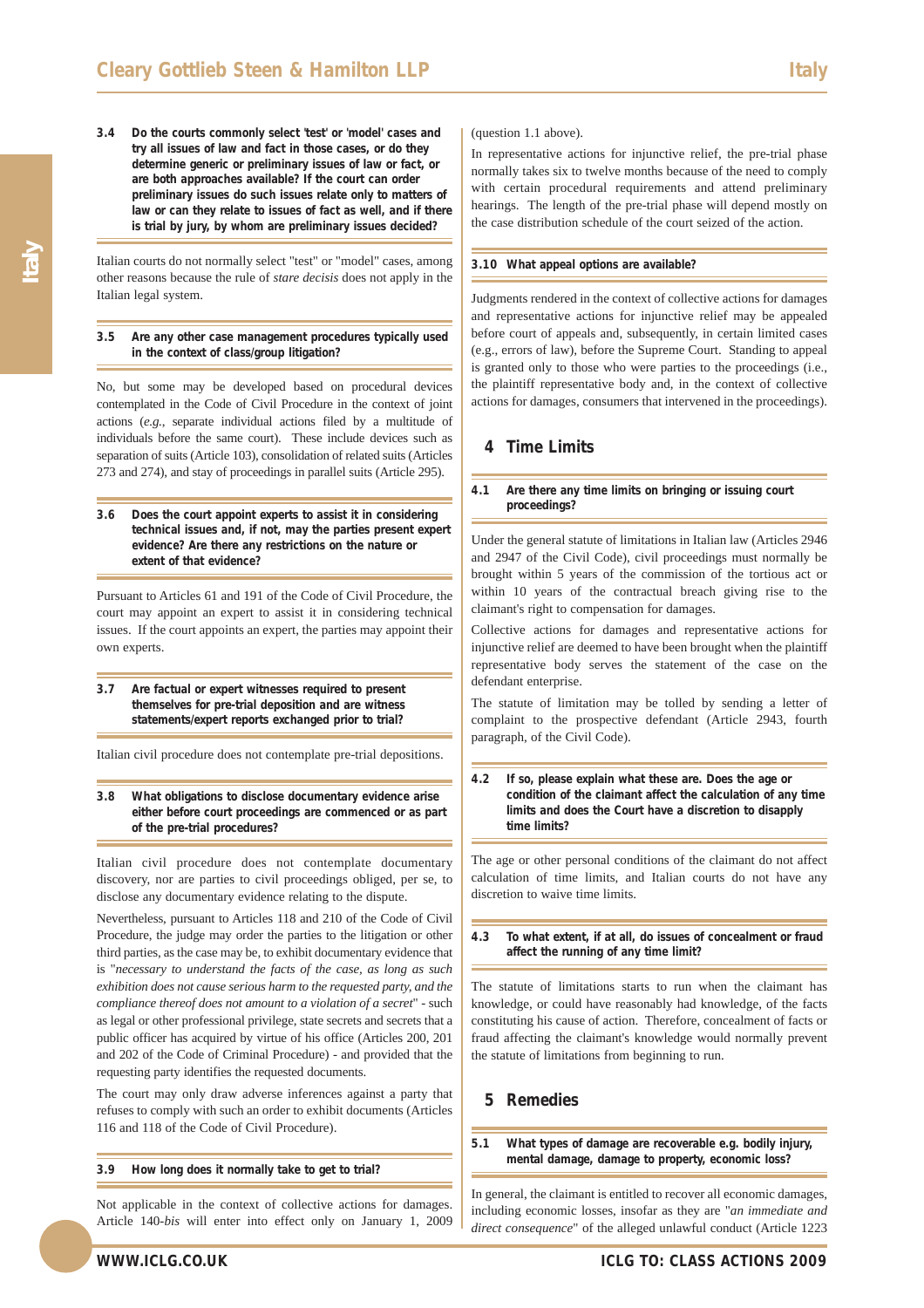**3.4 Do the courts commonly select 'test' or 'model' cases and try all issues of law and fact in those cases, or do they determine generic or preliminary issues of law or fact, or are both approaches available? If the court can order preliminary issues do such issues relate only to matters of law or can they relate to issues of fact as well, and if there is trial by jury, by whom are preliminary issues decided?**

Italian courts do not normally select "test" or "model" cases, among other reasons because the rule of *stare decisis* does not apply in the Italian legal system.

**3.5 Are any other case management procedures typically used in the context of class/group litigation?** 

No, but some may be developed based on procedural devices contemplated in the Code of Civil Procedure in the context of joint actions (*e.g.*, separate individual actions filed by a multitude of individuals before the same court). These include devices such as separation of suits (Article 103), consolidation of related suits (Articles 273 and 274), and stay of proceedings in parallel suits (Article 295).

**3.6 Does the court appoint experts to assist it in considering technical issues and, if not, may the parties present expert evidence? Are there any restrictions on the nature or extent of that evidence?**

Pursuant to Articles 61 and 191 of the Code of Civil Procedure, the court may appoint an expert to assist it in considering technical issues. If the court appoints an expert, the parties may appoint their own experts.

**3.7 Are factual or expert witnesses required to present themselves for pre-trial deposition and are witness statements/expert reports exchanged prior to trial?**

Italian civil procedure does not contemplate pre-trial depositions.

**3.8 What obligations to disclose documentary evidence arise either before court proceedings are commenced or as part of the pre-trial procedures?**

Italian civil procedure does not contemplate documentary discovery, nor are parties to civil proceedings obliged, per se, to disclose any documentary evidence relating to the dispute.

Nevertheless, pursuant to Articles 118 and 210 of the Code of Civil Procedure, the judge may order the parties to the litigation or other third parties, as the case may be, to exhibit documentary evidence that is "*necessary to understand the facts of the case, as long as such exhibition does not cause serious harm to the requested party, and the compliance thereof does not amount to a violation of a secret*" - such as legal or other professional privilege, state secrets and secrets that a public officer has acquired by virtue of his office (Articles 200, 201 and 202 of the Code of Criminal Procedure) - and provided that the requesting party identifies the requested documents.

The court may only draw adverse inferences against a party that refuses to comply with such an order to exhibit documents (Articles 116 and 118 of the Code of Civil Procedure).

**3.9 How long does it normally take to get to trial?**

Not applicable in the context of collective actions for damages. Article 140-*bis* will enter into effect only on January 1, 2009 (question 1.1 above).

In representative actions for injunctive relief, the pre-trial phase normally takes six to twelve months because of the need to comply with certain procedural requirements and attend preliminary hearings. The length of the pre-trial phase will depend mostly on the case distribution schedule of the court seized of the action.

#### **3.10 What appeal options are available?**

Judgments rendered in the context of collective actions for damages and representative actions for injunctive relief may be appealed before court of appeals and, subsequently, in certain limited cases (e.g., errors of law), before the Supreme Court. Standing to appeal is granted only to those who were parties to the proceedings (i.e., the plaintiff representative body and, in the context of collective actions for damages, consumers that intervened in the proceedings).

### **4 Time Limits**

#### **4.1 Are there any time limits on bringing or issuing court proceedings?**

Under the general statute of limitations in Italian law (Articles 2946 and 2947 of the Civil Code), civil proceedings must normally be brought within 5 years of the commission of the tortious act or within 10 years of the contractual breach giving rise to the claimant's right to compensation for damages.

Collective actions for damages and representative actions for injunctive relief are deemed to have been brought when the plaintiff representative body serves the statement of the case on the defendant enterprise.

The statute of limitation may be tolled by sending a letter of complaint to the prospective defendant (Article 2943, fourth paragraph, of the Civil Code).

#### **4.2 If so, please explain what these are. Does the age or condition of the claimant affect the calculation of any time limits and does the Court have a discretion to disapply time limits?**

The age or other personal conditions of the claimant do not affect calculation of time limits, and Italian courts do not have any discretion to waive time limits.

**4.3 To what extent, if at all, do issues of concealment or fraud affect the running of any time limit?**

The statute of limitations starts to run when the claimant has knowledge, or could have reasonably had knowledge, of the facts constituting his cause of action. Therefore, concealment of facts or fraud affecting the claimant's knowledge would normally prevent the statute of limitations from beginning to run.

## **5 Remedies**

#### **5.1 What types of damage are recoverable e.g. bodily injury, mental damage, damage to property, economic loss?**

In general, the claimant is entitled to recover all economic damages, including economic losses, insofar as they are "*an immediate and direct consequence*" of the alleged unlawful conduct (Article 1223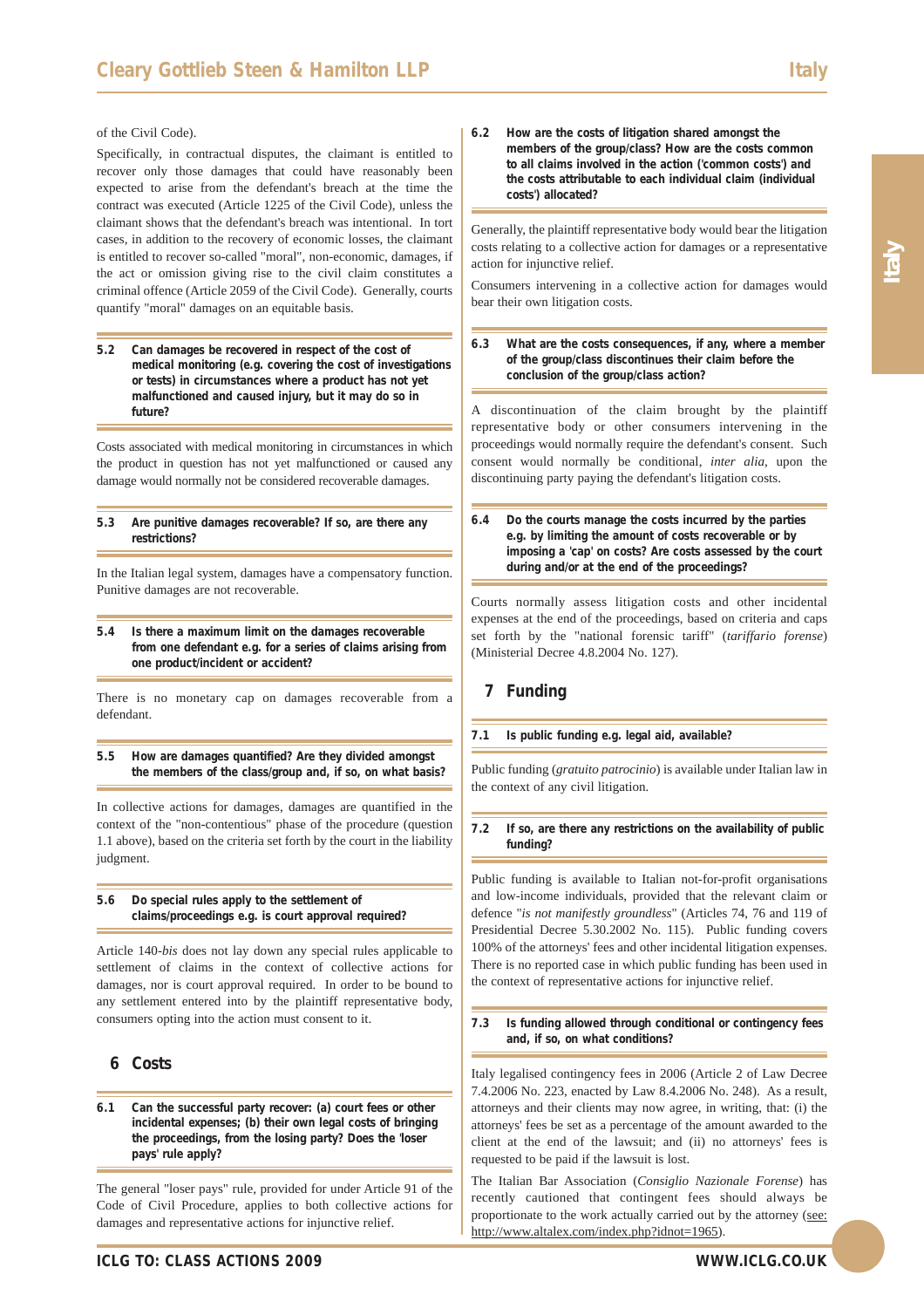#### of the Civil Code).

Specifically, in contractual disputes, the claimant is entitled to recover only those damages that could have reasonably been expected to arise from the defendant's breach at the time the contract was executed (Article 1225 of the Civil Code), unless the claimant shows that the defendant's breach was intentional. In tort cases, in addition to the recovery of economic losses, the claimant is entitled to recover so-called "moral", non-economic, damages, if the act or omission giving rise to the civil claim constitutes a criminal offence (Article 2059 of the Civil Code). Generally, courts quantify "moral" damages on an equitable basis.

**5.2 Can damages be recovered in respect of the cost of medical monitoring (e.g. covering the cost of investigations or tests) in circumstances where a product has not yet malfunctioned and caused injury, but it may do so in future?**

Costs associated with medical monitoring in circumstances in which the product in question has not yet malfunctioned or caused any damage would normally not be considered recoverable damages.

#### **5.3 Are punitive damages recoverable? If so, are there any restrictions?**

In the Italian legal system, damages have a compensatory function. Punitive damages are not recoverable.

**5.4 Is there a maximum limit on the damages recoverable from one defendant e.g. for a series of claims arising from one product/incident or accident?**

There is no monetary cap on damages recoverable from a defendant.

**5.5 How are damages quantified? Are they divided amongst the members of the class/group and, if so, on what basis?** 

In collective actions for damages, damages are quantified in the context of the "non-contentious" phase of the procedure (question 1.1 above), based on the criteria set forth by the court in the liability judgment.

#### **5.6 Do special rules apply to the settlement of claims/proceedings e.g. is court approval required?**

Article 140-*bis* does not lay down any special rules applicable to settlement of claims in the context of collective actions for damages, nor is court approval required. In order to be bound to any settlement entered into by the plaintiff representative body, consumers opting into the action must consent to it.

## **6 Costs**

**6.1 Can the successful party recover: (a) court fees or other incidental expenses; (b) their own legal costs of bringing the proceedings, from the losing party? Does the 'loser pays' rule apply?**

The general "loser pays" rule, provided for under Article 91 of the Code of Civil Procedure, applies to both collective actions for damages and representative actions for injunctive relief.

**6.2 How are the costs of litigation shared amongst the members of the group/class? How are the costs common to all claims involved in the action ('common costs') and the costs attributable to each individual claim (individual costs') allocated?**

Generally, the plaintiff representative body would bear the litigation costs relating to a collective action for damages or a representative action for injunctive relief.

Consumers intervening in a collective action for damages would bear their own litigation costs.

**6.3 What are the costs consequences, if any, where a member of the group/class discontinues their claim before the conclusion of the group/class action?** 

A discontinuation of the claim brought by the plaintiff representative body or other consumers intervening in the proceedings would normally require the defendant's consent. Such consent would normally be conditional, *inter alia*, upon the discontinuing party paying the defendant's litigation costs.

**6.4 Do the courts manage the costs incurred by the parties e.g. by limiting the amount of costs recoverable or by imposing a 'cap' on costs? Are costs assessed by the court during and/or at the end of the proceedings?** 

Courts normally assess litigation costs and other incidental expenses at the end of the proceedings, based on criteria and caps set forth by the "national forensic tariff" (*tariffario forense*) (Ministerial Decree 4.8.2004 No. 127).

## **7 Funding**

#### **7.1 Is public funding e.g. legal aid, available?**

Public funding (*gratuito patrocinio*) is available under Italian law in the context of any civil litigation.

#### **7.2 If so, are there any restrictions on the availability of public funding?**

Public funding is available to Italian not-for-profit organisations and low-income individuals, provided that the relevant claim or defence "*is not manifestly groundless*" (Articles 74, 76 and 119 of Presidential Decree 5.30.2002 No. 115). Public funding covers 100% of the attorneys' fees and other incidental litigation expenses. There is no reported case in which public funding has been used in the context of representative actions for injunctive relief.

#### **7.3 Is funding allowed through conditional or contingency fees and, if so, on what conditions?**

Italy legalised contingency fees in 2006 (Article 2 of Law Decree 7.4.2006 No. 223, enacted by Law 8.4.2006 No. 248). As a result, attorneys and their clients may now agree, in writing, that: (i) the attorneys' fees be set as a percentage of the amount awarded to the client at the end of the lawsuit; and (ii) no attorneys' fees is requested to be paid if the lawsuit is lost.

The Italian Bar Association (*Consiglio Nazionale Forense*) has recently cautioned that contingent fees should always be proportionate to the work actually carried out by the attorney (see: http://www.altalex.com/index.php?idnot=1965).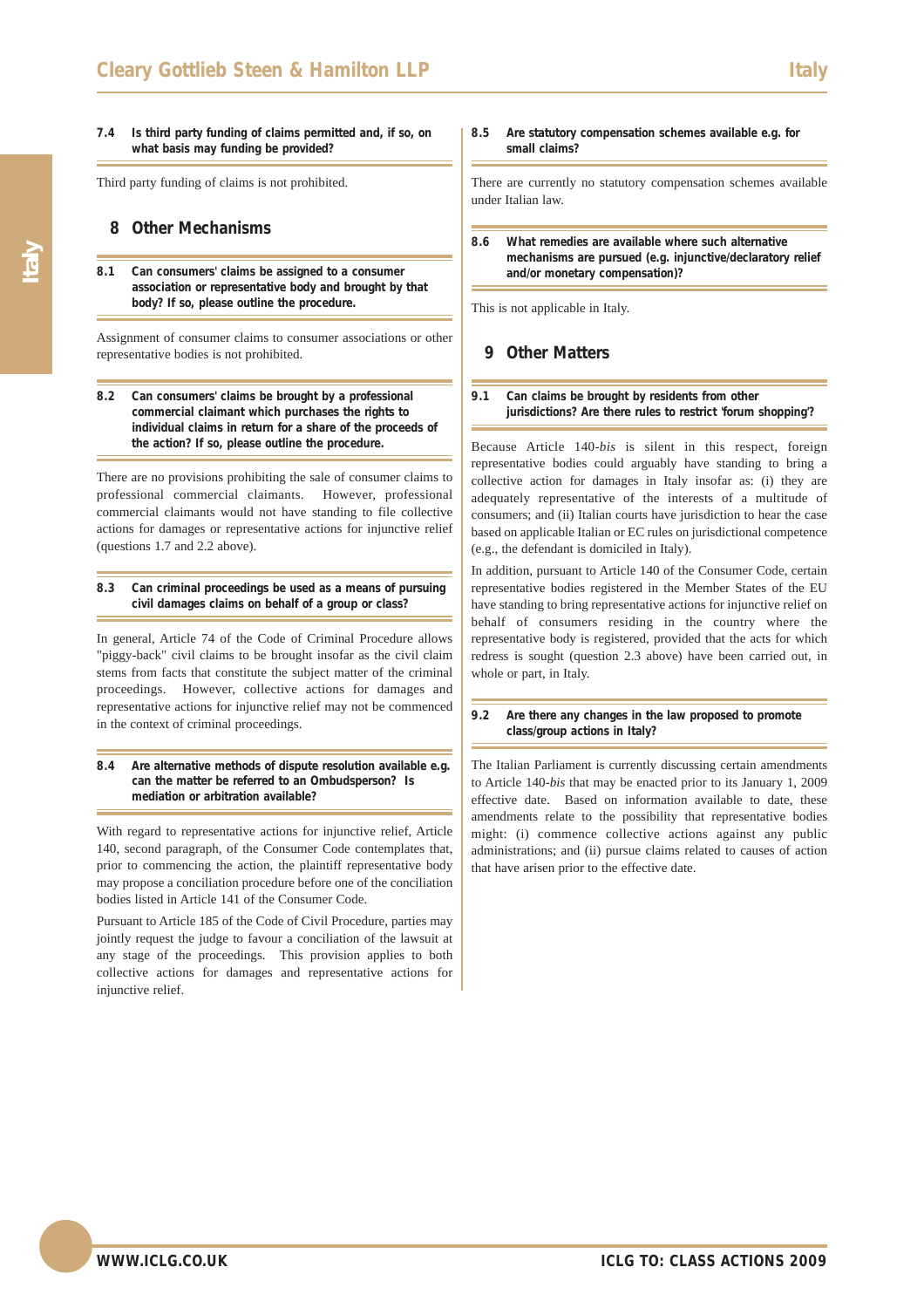#### **7.4 Is third party funding of claims permitted and, if so, on what basis may funding be provided?**

Third party funding of claims is not prohibited.

## **8 Other Mechanisms**

**8.1 Can consumers' claims be assigned to a consumer association or representative body and brought by that body? If so, please outline the procedure.**

Assignment of consumer claims to consumer associations or other representative bodies is not prohibited.

#### **8.2 Can consumers' claims be brought by a professional commercial claimant which purchases the rights to individual claims in return for a share of the proceeds of the action? If so, please outline the procedure.**

There are no provisions prohibiting the sale of consumer claims to professional commercial claimants. However, professional commercial claimants would not have standing to file collective actions for damages or representative actions for injunctive relief (questions 1.7 and 2.2 above).

#### **8.3 Can criminal proceedings be used as a means of pursuing civil damages claims on behalf of a group or class?**

In general, Article 74 of the Code of Criminal Procedure allows "piggy-back" civil claims to be brought insofar as the civil claim stems from facts that constitute the subject matter of the criminal proceedings. However, collective actions for damages and representative actions for injunctive relief may not be commenced in the context of criminal proceedings.

#### **8.4 Are alternative methods of dispute resolution available e.g. can the matter be referred to an Ombudsperson? Is mediation or arbitration available?**

With regard to representative actions for injunctive relief, Article 140, second paragraph, of the Consumer Code contemplates that, prior to commencing the action, the plaintiff representative body may propose a conciliation procedure before one of the conciliation bodies listed in Article 141 of the Consumer Code.

Pursuant to Article 185 of the Code of Civil Procedure, parties may jointly request the judge to favour a conciliation of the lawsuit at any stage of the proceedings. This provision applies to both collective actions for damages and representative actions for injunctive relief.

#### **8.5 Are statutory compensation schemes available e.g. for small claims?**

There are currently no statutory compensation schemes available under Italian law.

**8.6 What remedies are available where such alternative mechanisms are pursued (e.g. injunctive/declaratory relief and/or monetary compensation)?**

This is not applicable in Italy.

## **9 Other Matters**

#### **9.1 Can claims be brought by residents from other jurisdictions? Are there rules to restrict 'forum shopping'?**

Because Article 140-*bis* is silent in this respect, foreign representative bodies could arguably have standing to bring a collective action for damages in Italy insofar as: (i) they are adequately representative of the interests of a multitude of consumers; and (ii) Italian courts have jurisdiction to hear the case based on applicable Italian or EC rules on jurisdictional competence (e.g., the defendant is domiciled in Italy).

In addition, pursuant to Article 140 of the Consumer Code, certain representative bodies registered in the Member States of the EU have standing to bring representative actions for injunctive relief on behalf of consumers residing in the country where the representative body is registered, provided that the acts for which redress is sought (question 2.3 above) have been carried out, in whole or part, in Italy.

#### **9.2 Are there any changes in the law proposed to promote class/group actions in Italy?**

The Italian Parliament is currently discussing certain amendments to Article 140-*bis* that may be enacted prior to its January 1, 2009 effective date. Based on information available to date, these amendments relate to the possibility that representative bodies might: (i) commence collective actions against any public administrations; and (ii) pursue claims related to causes of action that have arisen prior to the effective date.